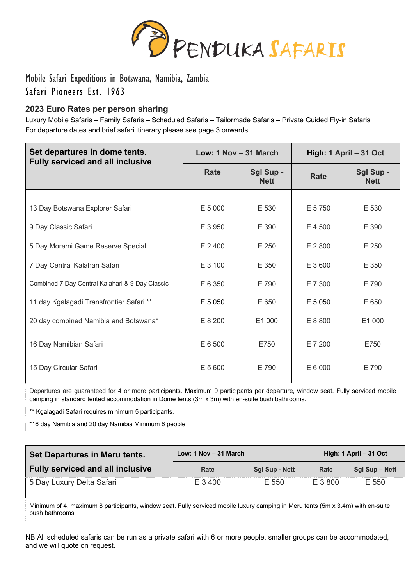

Mobile Safari Expeditions in Botswana, Namibia, Zambia Safari Pioneers Est. 1963

# **2023 Euro Rates per person sharing**

Luxury Mobile Safaris – Family Safaris – Scheduled Safaris – Tailormade Safaris – Private Guided Fly-in Safaris For departure dates and brief safari itinerary please see page 3 onwards

| Set departures in dome tents.<br><b>Fully serviced and all inclusive</b> | Low: 1 Nov - 31 March |                          | High: 1 April - 31 Oct |                          |  |
|--------------------------------------------------------------------------|-----------------------|--------------------------|------------------------|--------------------------|--|
|                                                                          | <b>Rate</b>           | Sgl Sup -<br><b>Nett</b> | <b>Rate</b>            | Sgl Sup -<br><b>Nett</b> |  |
|                                                                          |                       |                          |                        |                          |  |
| 13 Day Botswana Explorer Safari                                          | E 5 000               | E 530                    | E 5 750                | E 530                    |  |
| 9 Day Classic Safari                                                     | E 3 950               | E 390                    | E 4 500                | E 390                    |  |
| 5 Day Moremi Game Reserve Special                                        | E 2 400               | E 250                    | E 2 800                | E 250                    |  |
| 7 Day Central Kalahari Safari                                            | E 3 100               | E 350                    | E 3 600                | E 350                    |  |
| Combined 7 Day Central Kalahari & 9 Day Classic                          | E 6 350               | E 790                    | E 7 300                | E 790                    |  |
| 11 day Kgalagadi Transfrontier Safari **                                 | E 5 050               | E 650                    | E 5 050                | E 650                    |  |
| 20 day combined Namibia and Botswana*                                    | E 8 200               | E1 000                   | E 8 800                | E1 000                   |  |
| 16 Day Namibian Safari                                                   | E 6 500               | E750                     | E 7 200                | E750                     |  |
| 15 Day Circular Safari                                                   | E 5 600               | E 790                    | E 6 000                | E 790                    |  |

Departures are guaranteed for 4 or more participants. Maximum 9 participants per departure, window seat. Fully serviced mobile camping in standard tented accommodation in Dome tents (3m x 3m) with en-suite bush bathrooms.

\*\* Kgalagadi Safari requires minimum 5 participants.

\*16 day Namibia and 20 day Namibia Minimum 6 people

| Set Departures in Meru tents.           | Low: $1$ Nov $-$ 31 March |                       | High: 1 April - 31 Oct |                |
|-----------------------------------------|---------------------------|-----------------------|------------------------|----------------|
| <b>Fully serviced and all inclusive</b> | Rate                      | <b>Sql Sup - Nett</b> | Rate                   | Sgl Sup – Nett |
| 5 Day Luxury Delta Safari               | E 3400                    | E 550                 | E 3 800                | E 550          |

Minimum of 4, maximum 8 participants, window seat. Fully serviced mobile luxury camping in Meru tents (5m x 3.4m) with en-suite bush bathrooms

NB All scheduled safaris can be run as a private safari with 6 or more people, smaller groups can be accommodated, and we will quote on request.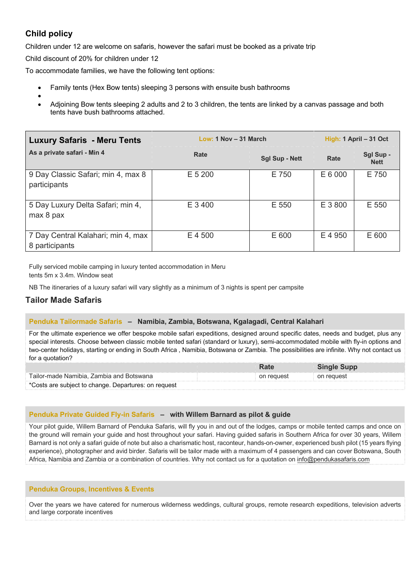# **Child policy**

Children under 12 are welcome on safaris, however the safari must be booked as a private trip

Child discount of 20% for children under 12

To accommodate families, we have the following tent options:

- Family tents (Hex Bow tents) sleeping 3 persons with ensuite bush bathrooms
- • Adjoining Bow tents sleeping 2 adults and 2 to 3 children, the tents are linked by a canvas passage and both tents have bush bathrooms attached.

| <b>Luxury Safaris - Meru Tents</b>                   | Low: 1 Nov - 31 March | High: $1$ April $-31$ Oct |         |                          |
|------------------------------------------------------|-----------------------|---------------------------|---------|--------------------------|
| As a private safari - Min 4                          | Rate                  | <b>Sgl Sup - Nett</b>     | Rate    | Sgl Sup -<br><b>Nett</b> |
| 9 Day Classic Safari; min 4, max 8<br>participants   | $E$ 5 200             | E 750                     | E 6 000 | E 750                    |
| 5 Day Luxury Delta Safari; min 4,<br>max 8 pax       | E 3400                | E 550                     | E 3800  | E 550                    |
| 7 Day Central Kalahari; min 4, max<br>8 participants | E 4 500               | E 600                     | E 4 950 | E 600                    |

Fully serviced mobile camping in luxury tented accommodation in Meru tents 5m x 3.4m. Window seat

NB The itineraries of a luxury safari will vary slightly as a minimum of 3 nights is spent per campsite

## **Tailor Made Safaris**

#### **Penduka Tailormade Safaris – Namibia, Zambia, Botswana, Kgalagadi, Central Kalahari**

For the ultimate experience we offer bespoke mobile safari expeditions, designed around specific dates, needs and budget, plus any special interests. Choose between classic mobile tented safari (standard or luxury), semi-accommodated mobile with fly-in options and two-center holidays, starting or ending in South Africa , Namibia, Botswana or Zambia. The possibilities are infinite. Why not contact us for a quotation?

|                                                      | Rate       | <b>Single Supp</b> |  |
|------------------------------------------------------|------------|--------------------|--|
| Tailor-made Namibia, Zambia and Botswana             | on request | on request         |  |
| *Costs are subject to change. Departures: on request |            |                    |  |

#### **Penduka Private Guided Fly-in Safaris – with Willem Barnard as pilot & guide**

Your pilot guide, Willem Barnard of Penduka Safaris, will fly you in and out of the lodges, camps or mobile tented camps and once on the ground will remain your guide and host throughout your safari. Having guided safaris in Southern Africa for over 30 years, Willem Barnard is not only a safari guide of note but also a charismatic host, raconteur, hands-on-owner, experienced bush pilot (15 years flying experience), photographer and avid birder. Safaris will be tailor made with a maximum of 4 passengers and can cover Botswana, South Africa, Namibia and Zambia or a combination of countries. Why not contact us for a quotation on info@pendukasafaris.com

#### **Penduka Groups, Incentives & Events**

Over the years we have catered for numerous wilderness weddings, cultural groups, remote research expeditions, television adverts and large corporate incentives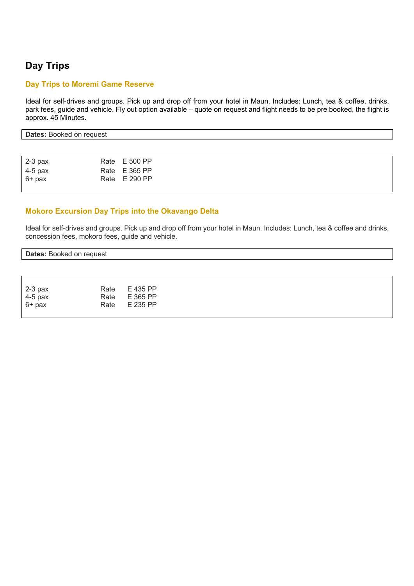# **Day Trips**

#### **Day Trips to Moremi Game Reserve**

Ideal for self-drives and groups. Pick up and drop off from your hotel in Maun. Includes: Lunch, tea & coffee, drinks, park fees, guide and vehicle. Fly out option available – quote on request and flight needs to be pre booked, the flight is approx. 45 Minutes.

| Dates:<br>request<br><b>BOOKED</b><br>0. OT<br>υa |  |
|---------------------------------------------------|--|
|                                                   |  |

| $2-3$ pax | Rate E 500 PP |  |  |
|-----------|---------------|--|--|
| 4-5 pax   | Rate E 365 PP |  |  |
| $6+$ pax  | Rate E 290 PP |  |  |
|           |               |  |  |

### **Mokoro Excursion Day Trips into the Okavango Delta**

Ideal for self-drives and groups. Pick up and drop off from your hotel in Maun. Includes: Lunch, tea & coffee and drinks, concession fees, mokoro fees, guide and vehicle.

## **Dates:** Booked on request

| $2-3$ pax |      | Rate E 435 PP |
|-----------|------|---------------|
| $4-5$ pax |      | Rate E 365 PP |
| $6+$ pax  | Rate | E 235 PP      |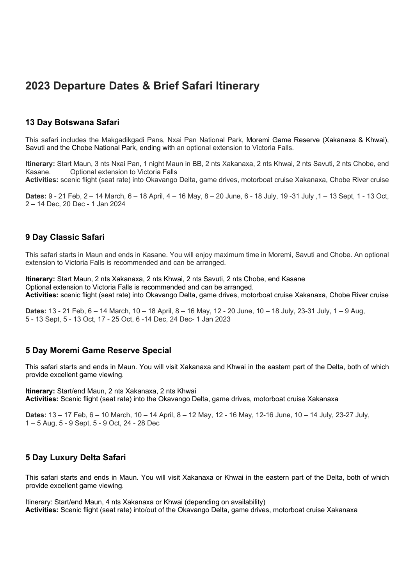# **2023 Departure Dates & Brief Safari Itinerary**

### **13 Day Botswana Safari**

This safari includes the Makgadikgadi Pans, Nxai Pan National Park, Moremi Game Reserve (Xakanaxa & Khwai), Savuti and the Chobe National Park, ending with an optional extension to Victoria Falls.

**Itinerary:** Start Maun, 3 nts Nxai Pan, 1 night Maun in BB, 2 nts Xakanaxa, 2 nts Khwai, 2 nts Savuti, 2 nts Chobe, end Kasane. Optional extension to Victoria Falls

**Activities:** scenic flight (seat rate) into Okavango Delta, game drives, motorboat cruise Xakanaxa, Chobe River cruise

**Dates:** 9 - 21 Feb, 2 – 14 March, 6 – 18 April, 4 – 16 May, 8 – 20 June, 6 - 18 July, 19 -31 July ,1 – 13 Sept, 1 - 13 Oct, 2 – 14 Dec, 20 Dec - 1 Jan 2024

## **9 Day Classic Safari**

This safari starts in Maun and ends in Kasane. You will enjoy maximum time in Moremi, Savuti and Chobe. An optional extension to Victoria Falls is recommended and can be arranged.

**Itinerary:** Start Maun, 2 nts Xakanaxa, 2 nts Khwai, 2 nts Savuti, 2 nts Chobe, end Kasane Optional extension to Victoria Falls is recommended and can be arranged. **Activities:** scenic flight (seat rate) into Okavango Delta, game drives, motorboat cruise Xakanaxa, Chobe River cruise

**Dates:** 13 - 21 Feb, 6 – 14 March, 10 – 18 April, 8 – 16 May, 12 - 20 June, 10 – 18 July, 23-31 July, 1 – 9 Aug, 5 - 13 Sept, 5 - 13 Oct, 17 - 25 Oct, 6 -14 Dec, 24 Dec- 1 Jan 2023

#### **5 Day Moremi Game Reserve Special**

This safari starts and ends in Maun. You will visit Xakanaxa and Khwai in the eastern part of the Delta, both of which provide excellent game viewing.

**Itinerary:** Start/end Maun, 2 nts Xakanaxa, 2 nts Khwai **Activities:** Scenic flight (seat rate) into the Okavango Delta, game drives, motorboat cruise Xakanaxa

**Dates:** 13 – 17 Feb, 6 – 10 March, 10 – 14 April, 8 – 12 May, 12 - 16 May, 12-16 June, 10 – 14 July, 23-27 July, 1 – 5 Aug, 5 - 9 Sept, 5 - 9 Oct, 24 - 28 Dec

#### **5 Day Luxury Delta Safari**

This safari starts and ends in Maun. You will visit Xakanaxa or Khwai in the eastern part of the Delta, both of which provide excellent game viewing.

Itinerary: Start/end Maun, 4 nts Xakanaxa or Khwai (depending on availability) **Activities:** Scenic flight (seat rate) into/out of the Okavango Delta, game drives, motorboat cruise Xakanaxa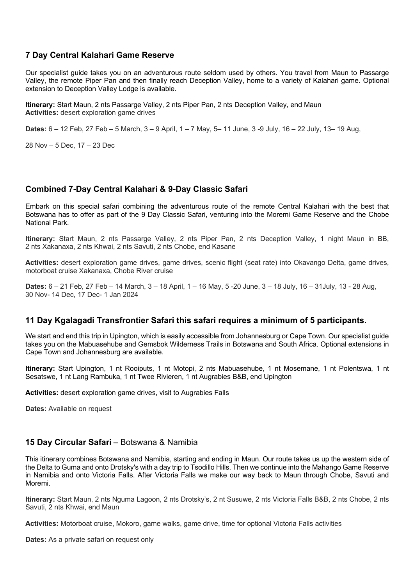## **7 Day Central Kalahari Game Reserve**

Our specialist guide takes you on an adventurous route seldom used by others. You travel from Maun to Passarge Valley, the remote Piper Pan and then finally reach Deception Valley, home to a variety of Kalahari game. Optional extension to Deception Valley Lodge is available.

**Itinerary:** Start Maun, 2 nts Passarge Valley, 2 nts Piper Pan, 2 nts Deception Valley, end Maun **Activities:** desert exploration game drives

**Dates:** 6 – 12 Feb, 27 Feb – 5 March, 3 – 9 April, 1 – 7 May, 5– 11 June, 3 -9 July, 16 – 22 July, 13– 19 Aug,

28 Nov – 5 Dec, 17 – 23 Dec

## **Combined 7-Day Central Kalahari & 9-Day Classic Safari**

Embark on this special safari combining the adventurous route of the remote Central Kalahari with the best that Botswana has to offer as part of the 9 Day Classic Safari, venturing into the Moremi Game Reserve and the Chobe National Park.

**Itinerary:** Start Maun, 2 nts Passarge Valley, 2 nts Piper Pan, 2 nts Deception Valley, 1 night Maun in BB, 2 nts Xakanaxa, 2 nts Khwai, 2 nts Savuti, 2 nts Chobe, end Kasane

**Activities:** desert exploration game drives, game drives, scenic flight (seat rate) into Okavango Delta, game drives, motorboat cruise Xakanaxa, Chobe River cruise

**Dates:** 6 – 21 Feb, 27 Feb – 14 March, 3 – 18 April, 1 – 16 May, 5 -20 June, 3 – 18 July, 16 – 31July, 13 - 28 Aug, 30 Nov- 14 Dec, 17 Dec- 1 Jan 2024

#### **11 Day Kgalagadi Transfrontier Safari this safari requires a minimum of 5 participants.**

We start and end this trip in Upington, which is easily accessible from Johannesburg or Cape Town. Our specialist guide takes you on the Mabuasehube and Gemsbok Wilderness Trails in Botswana and South Africa. Optional extensions in Cape Town and Johannesburg are available.

**Itinerary:** Start Upington, 1 nt Rooiputs, 1 nt Motopi, 2 nts Mabuasehube, 1 nt Mosemane, 1 nt Polentswa, 1 nt Sesatswe, 1 nt Lang Rambuka, 1 nt Twee Rivieren, 1 nt Augrabies B&B, end Upington

**Activities:** desert exploration game drives, visit to Augrabies Falls

**Dates:** Available on request

#### **15 Day Circular Safari** – Botswana & Namibia

This itinerary combines Botswana and Namibia, starting and ending in Maun. Our route takes us up the western side of the Delta to Guma and onto Drotsky's with a day trip to Tsodillo Hills. Then we continue into the Mahango Game Reserve in Namibia and onto Victoria Falls. After Victoria Falls we make our way back to Maun through Chobe, Savuti and Moremi.

**Itinerary:** Start Maun, 2 nts Nguma Lagoon, 2 nts Drotsky's, 2 nt Susuwe, 2 nts Victoria Falls B&B, 2 nts Chobe, 2 nts Savuti, 2 nts Khwai, end Maun

**Activities:** Motorboat cruise, Mokoro, game walks, game drive, time for optional Victoria Falls activities

**Dates:** As a private safari on request only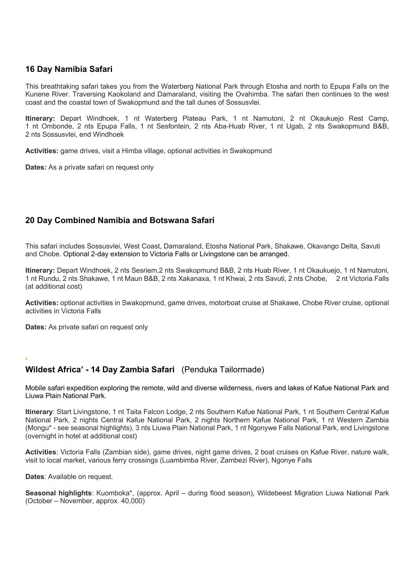# **16 Day Namibia Safari**

This breathtaking safari takes you from the Waterberg National Park through Etosha and north to Epupa Falls on the Kunene River. Traversing Kaokoland and Damaraland, visiting the Ovahimba. The safari then continues to the west coast and the coastal town of Swakopmund and the tall dunes of Sossusvlei.

**Itinerary:** Depart Windhoek, 1 nt Waterberg Plateau Park, 1 nt Namutoni, 2 nt Okaukuejo Rest Camp, 1 nt Ombonde, 2 nts Epupa Falls, 1 nt Sesfontein, 2 nts Aba-Huab River, 1 nt Ugab, 2 nts Swakopmund B&B, 2 nts Sossusvlei, end Windhoek

**Activities:** game drives, visit a Himba village, optional activities in Swakopmund

**Dates:** As a private safari on request only

# **20 Day Combined Namibia and Botswana Safari**

This safari includes Sossusvlei, West Coast, Damaraland, Etosha National Park, Shakawe, Okavango Delta, Savuti and Chobe. Optional 2-day extension to Victoria Falls or Livingstone can be arranged.

**Itinerary:** Depart Windhoek, 2 nts Sesriem,2 nts Swakopmund B&B, 2 nts Huab River, 1 nt Okaukuejo, 1 nt Namutoni, 1 nt Rundu, 2 nts Shakawe, 1 nt Maun B&B, 2 nts Xakanaxa, 1 nt Khwai, 2 nts Savuti, 2 nts Chobe, 2 nt Victoria Falls (at additional cost)

**Activities:** optional activities in Swakopmund, game drives, motorboat cruise at Shakawe, Chobe River cruise, optional activities in Victoria Falls

**Dates:** As private safari on request only

#### **' Wildest Africa' - 14 Day Zambia Safari** (Penduka Tailormade)

Mobile safari expedition exploring the remote, wild and diverse wilderness, rivers and lakes of Kafue National Park and Liuwa Plain National Park.

**Itinerary**: Start Livingstone, 1 nt Taita Falcon Lodge, 2 nts Southern Kafue National Park, 1 nt Southern Central Kafue National Park, 2 nights Central Kafue National Park, 2 nights Northern Kafue National Park, 1 nt Western Zambia (Mongu\* - see seasonal highlights), 3 nts Liuwa Plain National Park, 1 nt Ngonywe Falls National Park, end Livingstone (overnight in hotel at additional cost)

**Activities**: Victoria Falls (Zambian side), game drives, night game drives, 2 boat cruises on Kafue River, nature walk, visit to local market, various ferry crossings (Luambimba River, Zambezi River), Ngonye Falls

**Dates**: Available on request.

**Seasonal highlights**: Kuomboka\*, (approx. April – during flood season), Wildebeest Migration Liuwa National Park (October – November, approx. 40,000)